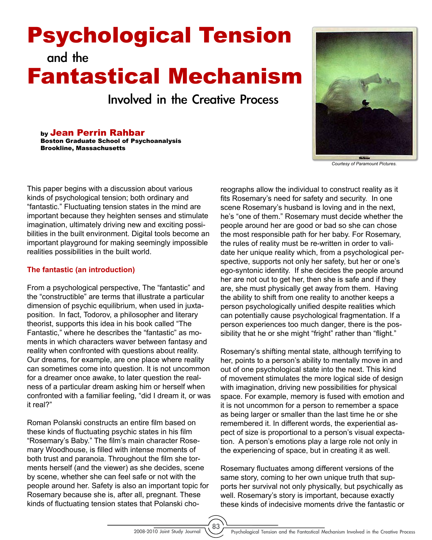# Psychological Tension and the

# Fantastical Mechanism

Involved in the Creative Process

by Jean Perrin Rahbar Boston Graduate School of Psychoanalysis Brookline, Massachusetts



*Courtesy of Paramount Pictures.*

This paper begins with a discussion about various kinds of psychological tension; both ordinary and "fantastic." Fluctuating tension states in the mind are important because they heighten senses and stimulate imagination, ultimately driving new and exciting possibilities in the built environment. Digital tools become an important playground for making seemingly impossible realities possibilities in the built world.

#### **The fantastic (an introduction)**

From a psychological perspective, The "fantastic" and the "constructible" are terms that illustrate a particular dimension of psychic equilibrium, when used in juxtaposition. In fact, Todorov, a philosopher and literary theorist, supports this idea in his book called "The Fantastic," where he describes the "fantastic" as moments in which characters waver between fantasy and reality when confronted with questions about reality. Our dreams, for example, are one place where reality can sometimes come into question. It is not uncommon for a dreamer once awake, to later question the realness of a particular dream asking him or herself when confronted with a familiar feeling, "did I dream it, or was it real?"

Roman Polanski constructs an entire film based on these kinds of fluctuating psychic states in his film "Rosemary's Baby." The film's main character Rosemary Woodhouse, is filled with intense moments of both trust and paranoia. Throughout the film she torments herself (and the viewer) as she decides, scene by scene, whether she can feel safe or not with the people around her. Safety is also an important topic for Rosemary because she is, after all, pregnant. These kinds of fluctuating tension states that Polanski choreographs allow the individual to construct reality as it fits Rosemary's need for safety and security. In one scene Rosemary's husband is loving and in the next, he's "one of them." Rosemary must decide whether the people around her are good or bad so she can chose the most responsible path for her baby. For Rosemary, the rules of reality must be re-written in order to validate her unique reality which, from a psychological perspective, supports not only her safety, but her or one's ego-syntonic identity. If she decides the people around her are not out to get her, then she is safe and if they are, she must physically get away from them. Having the ability to shift from one reality to another keeps a person psychologically unified despite realities which can potentially cause psychological fragmentation. If a person experiences too much danger, there is the possibility that he or she might "fright" rather than "flight."

Rosemary's shifting mental state, although terrifying to her, points to a person's ability to mentally move in and out of one psychological state into the next. This kind of movement stimulates the more logical side of design with imagination, driving new possibilities for physical space. For example, memory is fused with emotion and it is not uncommon for a person to remember a space as being larger or smaller than the last time he or she remembered it. In different words, the experiential aspect of size is proportional to a person's visual expectation. A person's emotions play a large role not only in the experiencing of space, but in creating it as well.

Rosemary fluctuates among different versions of the same story, coming to her own unique truth that supports her survival not only physically, but psychically as well. Rosemary's story is important, because exactly these kinds of indecisive moments drive the fantastic or

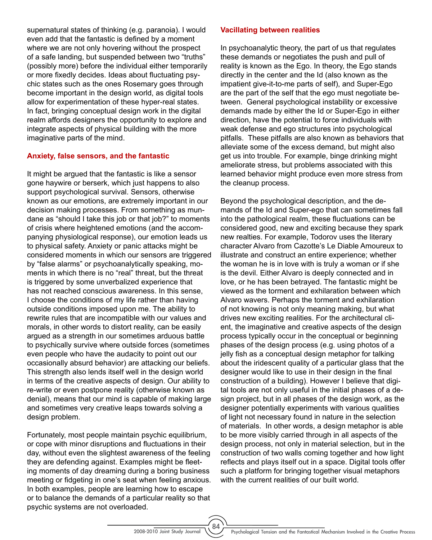supernatural states of thinking (e.g. paranoia). I would even add that the fantastic is defined by a moment where we are not only hovering without the prospect of a safe landing, but suspended between two "truths" (possibly more) before the individual either temporarily or more fixedly decides. Ideas about fluctuating psychic states such as the ones Rosemary goes through become important in the design world, as digital tools allow for experimentation of these hyper-real states. In fact, bringing conceptual design work in the digital realm affords designers the opportunity to explore and integrate aspects of physical building with the more imaginative parts of the mind.

## **Anxiety, false sensors, and the fantastic**

It might be argued that the fantastic is like a sensor gone haywire or berserk, which just happens to also support psychological survival. Sensors, otherwise known as our emotions, are extremely important in our decision making processes. From something as mundane as "should I take this job or that job?" to moments of crisis where heightened emotions (and the accompanying physiological response), our emotion leads us to physical safety. Anxiety or panic attacks might be considered moments in which our sensors are triggered by "false alarms" or psychoanalytically speaking, moments in which there is no "real" threat, but the threat is triggered by some unverbalized experience that has not reached conscious awareness. In this sense, I choose the conditions of my life rather than having outside conditions imposed upon me. The ability to rewrite rules that are incompatible with our values and morals, in other words to distort reality, can be easily argued as a strength in our sometimes arduous battle to psychically survive where outside forces (sometimes even people who have the audacity to point out our occasionally absurd behavior) are attacking our beliefs. This strength also lends itself well in the design world in terms of the creative aspects of design. Our ability to re-write or even postpone reality (otherwise known as denial), means that our mind is capable of making large and sometimes very creative leaps towards solving a design problem.

Fortunately, most people maintain psychic equilibrium, or cope with minor disruptions and fluctuations in their day, without even the slightest awareness of the feeling they are defending against. Examples might be fleeting moments of day dreaming during a boring business meeting or fidgeting in one's seat when feeling anxious. In both examples, people are learning how to escape or to balance the demands of a particular reality so that psychic systems are not overloaded.

#### **Vacillating between realities**

In psychoanalytic theory, the part of us that regulates these demands or negotiates the push and pull of reality is known as the Ego. In theory, the Ego stands directly in the center and the Id (also known as the impatient give-it-to-me parts of self), and Super-Ego are the part of the self that the ego must negotiate between. General psychological instability or excessive demands made by either the Id or Super-Ego in either direction, have the potential to force individuals with weak defense and ego structures into psychological pitfalls. These pitfalls are also known as behaviors that alleviate some of the excess demand, but might also get us into trouble. For example, binge drinking might ameliorate stress, but problems associated with this learned behavior might produce even more stress from the cleanup process.

Beyond the psychological description, and the demands of the Id and Super-ego that can sometimes fall into the pathological realm, these fluctuations can be considered good, new and exciting because they spark new realties. For example, Todorov uses the literary character Alvaro from Cazotte's Le Diable Amoureux to illustrate and construct an entire experience; whether the woman he is in love with is truly a woman or if she is the devil. Either Alvaro is deeply connected and in love, or he has been betrayed. The fantastic might be viewed as the torment and exhilaration between which Alvaro wavers. Perhaps the torment and exhilaration of not knowing is not only meaning making, but what drives new exciting realities. For the architectural client, the imaginative and creative aspects of the design process typically occur in the conceptual or beginning phases of the design process (e.g. using photos of a jelly fish as a conceptual design metaphor for talking about the iridescent quality of a particular glass that the designer would like to use in their design in the final construction of a building). However I believe that digital tools are not only useful in the initial phases of a design project, but in all phases of the design work, as the designer potentially experiments with various qualities of light not necessary found in nature in the selection of materials. In other words, a design metaphor is able to be more visibly carried through in all aspects of the design process, not only in material selection, but in the construction of two walls coming together and how light reflects and plays itself out in a space. Digital tools offer such a platform for bringing together visual metaphors with the current realities of our built world.